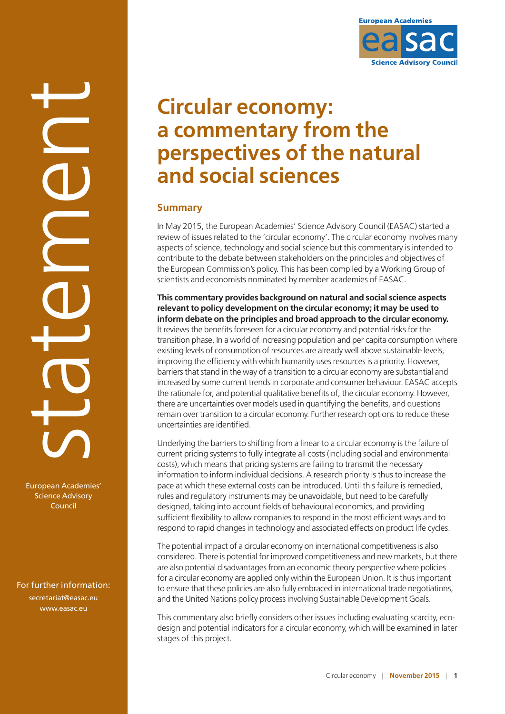

European Academies' Science Advisory Council

For further information: [secretariat@easac.eu](mailto:secretariat@easac.eu) www.easac.eu



# **Circular economy: a commentary from the perspectives of the natural and social sciences**

## **Summary**

In May 2015, the European Academies' Science Advisory Council (EASAC) started a review of issues related to the 'circular economy'. The circular economy involves many aspects of science, technology and social science but this commentary is intended to contribute to the debate between stakeholders on the principles and objectives of the European Commission's policy. This has been compiled by a Working Group of scientists and economists nominated by member academies of EASAC.

#### **This commentary provides background on natural and social science aspects relevant to policy development on the circular economy; it may be used to inform debate on the principles and broad approach to the circular economy.**

It reviews the benefits foreseen for a circular economy and potential risks for the transition phase. In a world of increasing population and per capita consumption where existing levels of consumption of resources are already well above sustainable levels, improving the efficiency with which humanity uses resources is a priority. However, barriers that stand in the way of a transition to a circular economy are substantial and increased by some current trends in corporate and consumer behaviour. EASAC accepts the rationale for, and potential qualitative benefits of, the circular economy. However, there are uncertainties over models used in quantifying the benefits, and questions remain over transition to a circular economy. Further research options to reduce these uncertainties are identified.

Underlying the barriers to shifting from a linear to a circular economy is the failure of current pricing systems to fully integrate all costs (including social and environmental costs), which means that pricing systems are failing to transmit the necessary information to inform individual decisions. A research priority is thus to increase the pace at which these external costs can be introduced. Until this failure is remedied, rules and regulatory instruments may be unavoidable, but need to be carefully designed, taking into account fields of behavioural economics, and providing sufficient flexibility to allow companies to respond in the most efficient ways and to respond to rapid changes in technology and associated effects on product life cycles.

The potential impact of a circular economy on international competitiveness is also considered. There is potential for improved competitiveness and new markets, but there are also potential disadvantages from an economic theory perspective where policies for a circular economy are applied only within the European Union. It is thus important to ensure that these policies are also fully embraced in international trade negotiations, and the United Nations policy process involving Sustainable Development Goals.

This commentary also briefly considers other issues including evaluating scarcity, ecodesign and potential indicators for a circular economy, which will be examined in later stages of this project.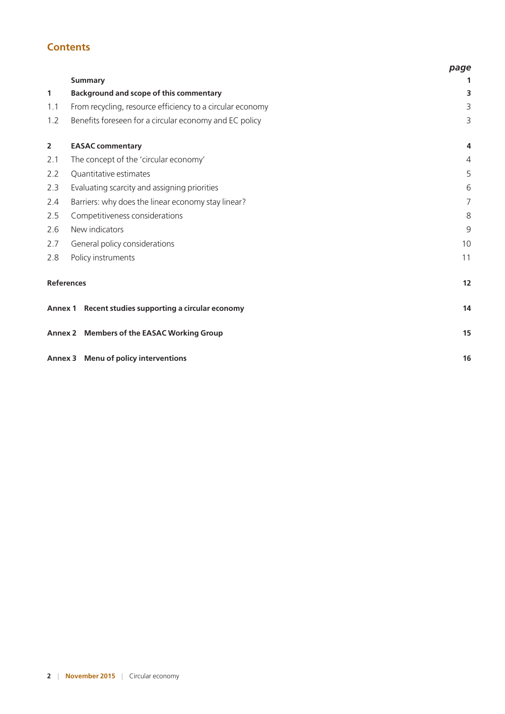## **Contents**

|                   |                                                           | page           |
|-------------------|-----------------------------------------------------------|----------------|
|                   | <b>Summary</b>                                            | 1              |
| $\mathbf{1}$      | <b>Background and scope of this commentary</b>            | 3              |
| 1.1               | From recycling, resource efficiency to a circular economy | 3              |
| 1.2               | Benefits foreseen for a circular economy and EC policy    | 3              |
| $\overline{2}$    | <b>EASAC commentary</b>                                   | 4              |
| 2.1               | The concept of the 'circular economy'                     | 4              |
| 2.2               | Quantitative estimates                                    | 5              |
| 2.3               | Evaluating scarcity and assigning priorities              | 6              |
| 2.4               | Barriers: why does the linear economy stay linear?        | $\overline{7}$ |
| 2.5               | Competitiveness considerations                            | 8              |
| 2.6               | New indicators                                            |                |
| 2.7               | General policy considerations                             |                |
| 2.8               | Policy instruments                                        |                |
| <b>References</b> |                                                           |                |
|                   | Annex 1 Recent studies supporting a circular economy      | 14             |
|                   | Annex 2 Members of the EASAC Working Group                | 15             |
|                   | Annex 3 Menu of policy interventions                      | 16             |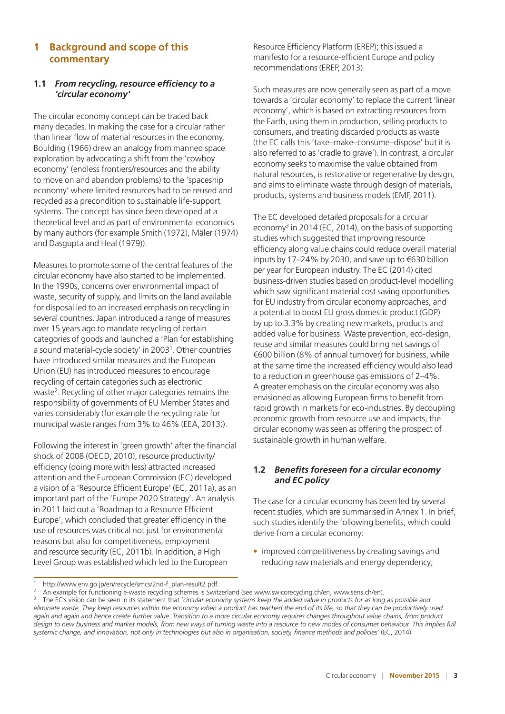## **1 Background and scope of this commentary**

#### **1.1** *From recycling, resource efficiency to a 'circular economy'*

The circular economy concept can be traced back many decades. In making the case for a circular rather than linear flow of material resources in the economy, Boulding (1966) drew an analogy from manned space exploration by advocating a shift from the 'cowboy economy' (endless frontiers/resources and the ability to move on and abandon problems) to the 'spaceship economy' where limited resources had to be reused and recycled as a precondition to sustainable life-support systems. The concept has since been developed at a theoretical level and as part of environmental economics by many authors (for example Smith (1972), Mäler (1974) and Dasgupta and Heal (1979)).

Measures to promote some of the central features of the circular economy have also started to be implemented. In the 1990s, concerns over environmental impact of waste, security of supply, and limits on the land available for disposal led to an increased emphasis on recycling in several countries. Japan introduced a range of measures over 15 years ago to mandate recycling of certain categories of goods and launched a 'Plan for establishing a sound material-cycle society' in 2003<sup>1</sup>. Other countries have introduced similar measures and the European Union (EU) has introduced measures to encourage recycling of certain categories such as electronic waste2. Recycling of other major categories remains the responsibility of governments of EU Member States and varies considerably (for example the recycling rate for municipal waste ranges from 3% to 46% (EEA, 2013)).

Following the interest in 'green growth' after the financial shock of 2008 (OECD, 2010), resource productivity/ efficiency (doing more with less) attracted increased attention and the European Commission (EC) developed a vision of a 'Resource Efficient Europe' (EC, 2011a), as an important part of the 'Europe 2020 Strategy'. An analysis in 2011 laid out a 'Roadmap to a Resource Efficient Europe', which concluded that greater efficiency in the use of resources was critical not just for environmental reasons but also for competitiveness, employment and resource security (EC, 2011b). In addition, a High Level Group was established which led to the European

Resource Efficiency Platform (EREP); this issued a manifesto for a resource-efficient Europe and policy recommendations (EREP, 2013).

Such measures are now generally seen as part of a move towards a 'circular economy' to replace the current 'linear economy', which is based on extracting resources from the Earth, using them in production, selling products to consumers, and treating discarded products as waste (the EC calls this 'take–make–consume–dispose' but it is also referred to as 'cradle to grave'). In contrast, a circular economy seeks to maximise the value obtained from natural resources, is restorative or regenerative by design, and aims to eliminate waste through design of materials, products, systems and business models (EMF, 2011).

The EC developed detailed proposals for a circular economy<sup>3</sup> in 2014 (EC, 2014), on the basis of supporting studies which suggested that improving resource efficiency along value chains could reduce overall material inputs by 17–24% by 2030, and save up to €630 billion per year for European industry. The EC (2014) cited business-driven studies based on product-level modelling which saw significant material cost saving opportunities for EU industry from circular economy approaches, and a potential to boost EU gross domestic product (GDP) by up to 3.3% by creating new markets, products and added value for business. Waste prevention, eco-design, reuse and similar measures could bring net savings of €600 billion (8% of annual turnover) for business, while at the same time the increased efficiency would also lead to a reduction in greenhouse gas emissions of 2–4%. A greater emphasis on the circular economy was also envisioned as allowing European firms to benefit from rapid growth in markets for eco-industries. By decoupling economic growth from resource use and impacts, the circular economy was seen as offering the prospect of sustainable growth in human welfare.

#### **1.2** *Benefits foreseen for a circular economy and EC policy*

The case for a circular economy has been led by several recent studies, which are summarised in Annex 1. In brief, such studies identify the following benefits, which could derive from a circular economy:

• improved competitiveness by creating savings and reducing raw materials and energy dependency;

<sup>1</sup> http://www.env.go.jp/en/recycle/smcs/2nd-f\_plan-result2.pdf.

<sup>2</sup> An example for functioning e-waste recycling schemes is Switzerland (see www.swicorecycling.ch/en, www.sens.ch/en).

<sup>3</sup> The EC's vision can be seen in its statement that '*circular economy systems keep the added value in products for as long as possible and eliminate waste. They keep resources within the economy when a product has reached the end of its life, so that they can be productively used again and again and hence create further value. Transition to a more circular economy requires changes throughout value chains, from product*  design to new business and market models, from new ways of turning waste into a resource to new modes of consumer behaviour. This implies full *systemic change, and innovation, not only in technologies but also in organisation, society, finance methods and policies*' (EC, 2014).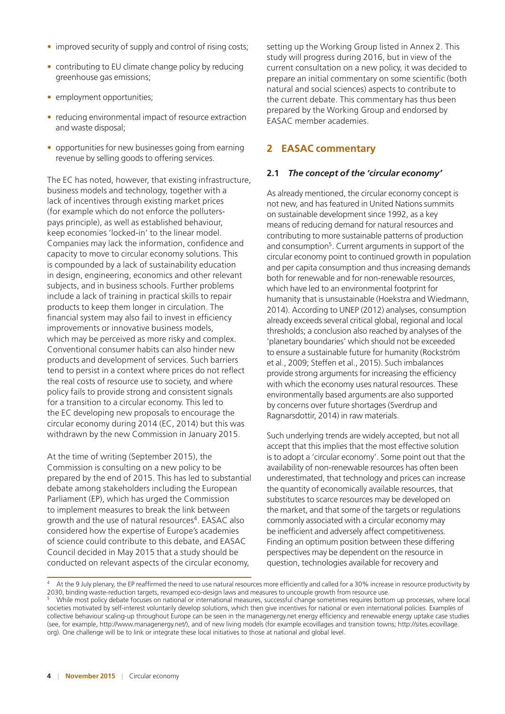- improved security of supply and control of rising costs;
- contributing to EU climate change policy by reducing greenhouse gas emissions;
- employment opportunities;
- reducing environmental impact of resource extraction and waste disposal;
- opportunities for new businesses going from earning revenue by selling goods to offering services.

The EC has noted, however, that existing infrastructure, business models and technology, together with a lack of incentives through existing market prices (for example which do not enforce the polluterspays principle), as well as established behaviour, keep economies 'locked-in' to the linear model. Companies may lack the information, confidence and capacity to move to circular economy solutions. This is compounded by a lack of sustainability education in design, engineering, economics and other relevant subjects, and in business schools. Further problems include a lack of training in practical skills to repair products to keep them longer in circulation. The financial system may also fail to invest in efficiency improvements or innovative business models, which may be perceived as more risky and complex. Conventional consumer habits can also hinder new products and development of services. Such barriers tend to persist in a context where prices do not reflect the real costs of resource use to society, and where policy fails to provide strong and consistent signals for a transition to a circular economy. This led to the EC developing new proposals to encourage the circular economy during 2014 (EC, 2014) but this was withdrawn by the new Commission in January 2015.

At the time of writing (September 2015), the Commission is consulting on a new policy to be prepared by the end of 2015. This has led to substantial debate among stakeholders including the European Parliament (EP), which has urged the Commission to implement measures to break the link between growth and the use of natural resources<sup>4</sup>. EASAC also considered how the expertise of Europe's academies of science could contribute to this debate, and EASAC Council decided in May 2015 that a study should be conducted on relevant aspects of the circular economy,

setting up the Working Group listed in Annex 2. This study will progress during 2016, but in view of the current consultation on a new policy, it was decided to prepare an initial commentary on some scientific (both natural and social sciences) aspects to contribute to the current debate. This commentary has thus been prepared by the Working Group and endorsed by EASAC member academies.

## **2 EASAC commentary**

#### **2.1** *The concept of the 'circular economy'*

As already mentioned, the circular economy concept is not new, and has featured in United Nations summits on sustainable development since 1992, as a key means of reducing demand for natural resources and contributing to more sustainable patterns of production and consumption<sup>5</sup>. Current arguments in support of the circular economy point to continued growth in population and per capita consumption and thus increasing demands both for renewable and for non-renewable resources, which have led to an environmental footprint for humanity that is unsustainable (Hoekstra and Wiedmann, 2014). According to UNEP (2012) analyses, consumption already exceeds several critical global, regional and local thresholds; a conclusion also reached by analyses of the 'planetary boundaries' which should not be exceeded to ensure a sustainable future for humanity (Rockström et al., 2009; Steffen et al., 2015). Such imbalances provide strong arguments for increasing the efficiency with which the economy uses natural resources. These environmentally based arguments are also supported by concerns over future shortages (Sverdrup and Ragnarsdottir, 2014) in raw materials.

Such underlying trends are widely accepted, but not all accept that this implies that the most effective solution is to adopt a 'circular economy'. Some point out that the availability of non-renewable resources has often been underestimated, that technology and prices can increase the quantity of economically available resources, that substitutes to scarce resources may be developed on the market, and that some of the targets or regulations commonly associated with a circular economy may be inefficient and adversely affect competitiveness. Finding an optimum position between these differing perspectives may be dependent on the resource in question, technologies available for recovery and

<sup>&</sup>lt;sup>4</sup> At the 9 July plenary, the EP reaffirmed the need to use natural resources more efficiently and called for a 30% increase in resource productivity by 2030, binding waste-reduction targets, revamped eco-design laws and measures to uncouple growth from resource use.

While most policy debate focuses on national or international measures, successful change sometimes requires bottom up processes, where local societies motivated by self-interest voluntarily develop solutions, which then give incentives for national or even international policies. Examples of collective behaviour scaling-up throughout Europe can be seen in the managenergy.net energy efficiency and renewable energy uptake case studies (see, for example, http://www.managenergy.net/), and of new living models (for example ecovillages and transition towns; http://sites.ecovillage. org). One challenge will be to link or integrate these local initiatives to those at national and global level.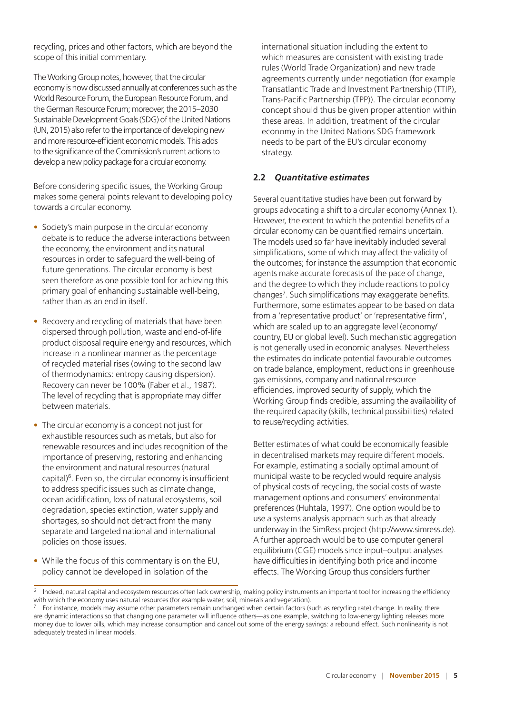recycling, prices and other factors, which are beyond the scope of this initial commentary.

The Working Group notes, however, that the circular economy is now discussed annually at conferences such as the World Resource Forum, the European Resource Forum, and the German Resource Forum; moreover, the 2015–2030 Sustainable Development Goals (SDG) of the United Nations (UN, 2015) also refer to the importance of developing new and more resource-efficient economic models. This adds to the significance of the Commission's current actions to develop a new policy package for a circular economy.

Before considering specific issues, the Working Group makes some general points relevant to developing policy towards a circular economy.

- Society's main purpose in the circular economy debate is to reduce the adverse interactions between the economy, the environment and its natural resources in order to safeguard the well-being of future generations. The circular economy is best seen therefore as one possible tool for achieving this primary goal of enhancing sustainable well-being, rather than as an end in itself.
- Recovery and recycling of materials that have been dispersed through pollution, waste and end-of-life product disposal require energy and resources, which increase in a nonlinear manner as the percentage of recycled material rises (owing to the second law of thermodynamics: entropy causing dispersion). Recovery can never be 100% (Faber et al., 1987). The level of recycling that is appropriate may differ between materials.
- The circular economy is a concept not just for exhaustible resources such as metals, but also for renewable resources and includes recognition of the importance of preserving, restoring and enhancing the environment and natural resources (natural capital) $6$ . Even so, the circular economy is insufficient to address specific issues such as climate change, ocean acidification, loss of natural ecosystems, soil degradation, species extinction, water supply and shortages, so should not detract from the many separate and targeted national and international policies on those issues.
- While the focus of this commentary is on the EU, policy cannot be developed in isolation of the

international situation including the extent to which measures are consistent with existing trade rules (World Trade Organization) and new trade agreements currently under negotiation (for example Transatlantic Trade and Investment Partnership (TTIP), Trans-Pacific Partnership (TPP)). The circular economy concept should thus be given proper attention within these areas. In addition, treatment of the circular economy in the United Nations SDG framework needs to be part of the EU's circular economy strategy.

#### **2.2** *Quantitative estimates*

Several quantitative studies have been put forward by groups advocating a shift to a circular economy (Annex 1). However, the extent to which the potential benefits of a circular economy can be quantified remains uncertain. The models used so far have inevitably included several simplifications, some of which may affect the validity of the outcomes; for instance the assumption that economic agents make accurate forecasts of the pace of change, and the degree to which they include reactions to policy changes7. Such simplifications may exaggerate benefits. Furthermore, some estimates appear to be based on data from a 'representative product' or 'representative firm', which are scaled up to an aggregate level (economy/ country, EU or global level). Such mechanistic aggregation is not generally used in economic analyses. Nevertheless the estimates do indicate potential favourable outcomes on trade balance, employment, reductions in greenhouse gas emissions, company and national resource efficiencies, improved security of supply, which the Working Group finds credible, assuming the availability of the required capacity (skills, technical possibilities) related to reuse/recycling activities.

Better estimates of what could be economically feasible in decentralised markets may require different models. For example, estimating a socially optimal amount of municipal waste to be recycled would require analysis of physical costs of recycling, the social costs of waste management options and consumers' environmental preferences (Huhtala, 1997). One option would be to use a systems analysis approach such as that already underway in the SimRess project (http://www.simress.de). A further approach would be to use computer general equilibrium (CGE) models since input–output analyses have difficulties in identifying both price and income effects. The Working Group thus considers further

Indeed, natural capital and ecosystem resources often lack ownership, making policy instruments an important tool for increasing the efficiency with which the economy uses natural resources (for example water, soil, minerals and vegetation).

 $7$  For instance, models may assume other parameters remain unchanged when certain factors (such as recycling rate) change. In reality, there are dynamic interactions so that changing one parameter will influence others—as one example, switching to low-energy lighting releases more money due to lower bills, which may increase consumption and cancel out some of the energy savings: a rebound effect. Such nonlinearity is not adequately treated in linear models.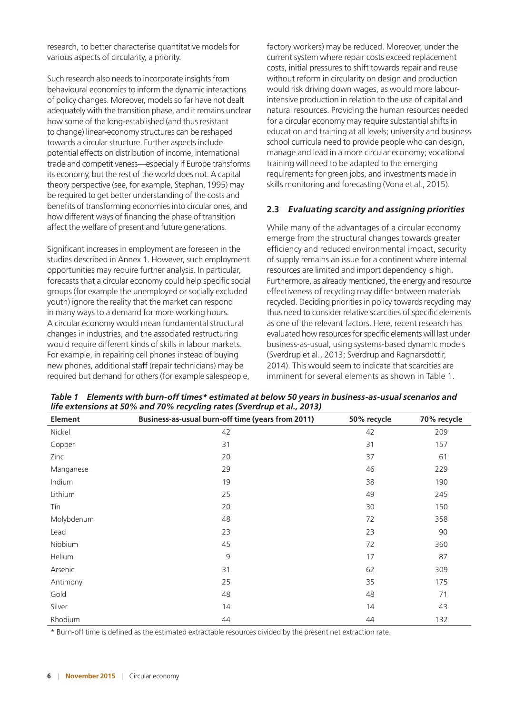research, to better characterise quantitative models for various aspects of circularity, a priority.

Such research also needs to incorporate insights from behavioural economics to inform the dynamic interactions of policy changes. Moreover, models so far have not dealt adequately with the transition phase, and it remains unclear how some of the long-established (and thus resistant to change) linear-economy structures can be reshaped towards a circular structure. Further aspects include potential effects on distribution of income, international trade and competitiveness—especially if Europe transforms its economy, but the rest of the world does not. A capital theory perspective (see, for example, Stephan, 1995) may be required to get better understanding of the costs and benefits of transforming economies into circular ones, and how different ways of financing the phase of transition affect the welfare of present and future generations.

Significant increases in employment are foreseen in the studies described in Annex 1. However, such employment opportunities may require further analysis. In particular, forecasts that a circular economy could help specific social groups (for example the unemployed or socially excluded youth) ignore the reality that the market can respond in many ways to a demand for more working hours. A circular economy would mean fundamental structural changes in industries, and the associated restructuring would require different kinds of skills in labour markets. For example, in repairing cell phones instead of buying new phones, additional staff (repair technicians) may be required but demand for others (for example salespeople,

factory workers) may be reduced. Moreover, under the current system where repair costs exceed replacement costs, initial pressures to shift towards repair and reuse without reform in circularity on design and production would risk driving down wages, as would more labourintensive production in relation to the use of capital and natural resources. Providing the human resources needed for a circular economy may require substantial shifts in education and training at all levels; university and business school curricula need to provide people who can design, manage and lead in a more circular economy; vocational training will need to be adapted to the emerging requirements for green jobs, and investments made in skills monitoring and forecasting (Vona et al., 2015).

#### **2.3** *Evaluating scarcity and assigning priorities*

While many of the advantages of a circular economy emerge from the structural changes towards greater efficiency and reduced environmental impact, security of supply remains an issue for a continent where internal resources are limited and import dependency is high. Furthermore, as already mentioned, the energy and resource effectiveness of recycling may differ between materials recycled. Deciding priorities in policy towards recycling may thus need to consider relative scarcities of specific elements as one of the relevant factors. Here, recent research has evaluated how resources for specific elements will last under business-as-usual, using systems-based dynamic models (Sverdrup et al., 2013; Sverdrup and Ragnarsdottir, 2014). This would seem to indicate that scarcities are imminent for several elements as shown in Table 1.

| <b>Element</b> | Business-as-usual burn-off time (years from 2011) | 50% recycle | 70% recycle |
|----------------|---------------------------------------------------|-------------|-------------|
| Nickel         | 42                                                | 42          | 209         |
| Copper         | 31                                                | 31          | 157         |
| Zinc           | 20                                                | 37          | 61          |
| Manganese      | 29                                                | 46          | 229         |
| Indium         | 19                                                | 38          | 190         |
| Lithium        | 25                                                | 49          | 245         |
| Tin            | 20                                                | 30          | 150         |
| Molybdenum     | 48                                                | 72          | 358         |
| Lead           | 23                                                | 23          | 90          |
| Niobium        | 45                                                | 72          | 360         |
| Helium         | 9                                                 | 17          | 87          |
| Arsenic        | 31                                                | 62          | 309         |
| Antimony       | 25                                                | 35          | 175         |
| Gold           | 48                                                | 48          | 71          |
| Silver         | 14                                                | 14          | 43          |
| Rhodium        | 44                                                | 44          | 132         |

*Table 1 Elements with burn-off times\* estimated at below 50 years in business-as-usual scenarios and life extensions at 50% and 70% recycling rates (Sverdrup et al., 2013)*

\* Burn-off time is defined as the estimated extractable resources divided by the present net extraction rate.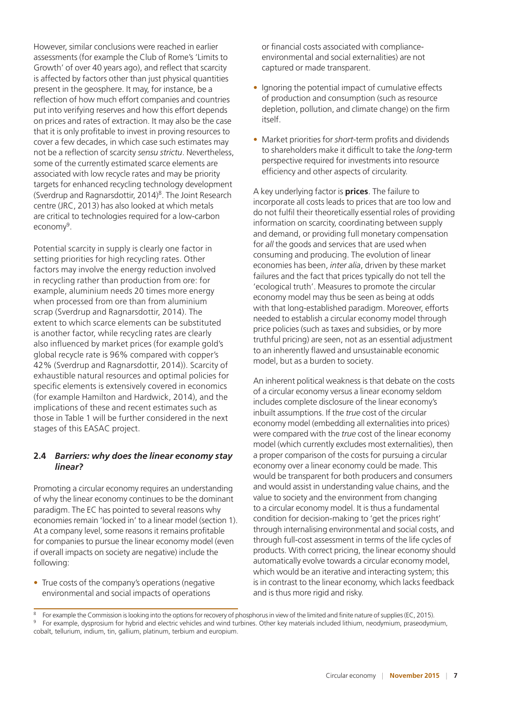However, similar conclusions were reached in earlier assessments (for example the Club of Rome's 'Limits to Growth' of over 40 years ago), and reflect that scarcity is affected by factors other than just physical quantities present in the geosphere. It may, for instance, be a reflection of how much effort companies and countries put into verifying reserves and how this effort depends on prices and rates of extraction. It may also be the case that it is only profitable to invest in proving resources to cover a few decades, in which case such estimates may not be a reflection of scarcity *sensu strictu*. Nevertheless, some of the currently estimated scarce elements are associated with low recycle rates and may be priority targets for enhanced recycling technology development (Sverdrup and Ragnarsdottir, 2014)8. The Joint Research centre (JRC, 2013) has also looked at which metals are critical to technologies required for a low-carbon economy<sup>9</sup>.

Potential scarcity in supply is clearly one factor in setting priorities for high recycling rates. Other factors may involve the energy reduction involved in recycling rather than production from ore: for example, aluminium needs 20 times more energy when processed from ore than from aluminium scrap (Sverdrup and Ragnarsdottir, 2014). The extent to which scarce elements can be substituted is another factor, while recycling rates are clearly also influenced by market prices (for example gold's global recycle rate is 96% compared with copper's 42% (Sverdrup and Ragnarsdottir, 2014)). Scarcity of exhaustible natural resources and optimal policies for specific elements is extensively covered in economics (for example Hamilton and Hardwick, 2014), and the implications of these and recent estimates such as those in Table 1 will be further considered in the next stages of this EASAC project.

#### **2.4** *Barriers: why does the linear economy stay linear?*

Promoting a circular economy requires an understanding of why the linear economy continues to be the dominant paradigm. The EC has pointed to several reasons why economies remain 'locked in' to a linear model (section 1). At a company level, some reasons it remains profitable for companies to pursue the linear economy model (even if overall impacts on society are negative) include the following:

• True costs of the company's operations (negative environmental and social impacts of operations

or financial costs associated with complianceenvironmental and social externalities) are not captured or made transparent.

- Ignoring the potential impact of cumulative effects of production and consumption (such as resource depletion, pollution, and climate change) on the firm itself.
- Market priorities for *short*-term profits and dividends to shareholders make it difficult to take the *long*-term perspective required for investments into resource efficiency and other aspects of circularity.

A key underlying factor is **prices**. The failure to incorporate all costs leads to prices that are too low and do not fulfil their theoretically essential roles of providing information on scarcity, coordinating between supply and demand, or providing full monetary compensation for *all* the goods and services that are used when consuming and producing. The evolution of linear economies has been, *inter alia*, driven by these market failures and the fact that prices typically do not tell the 'ecological truth'. Measures to promote the circular economy model may thus be seen as being at odds with that long-established paradigm. Moreover, efforts needed to establish a circular economy model through price policies (such as taxes and subsidies, or by more truthful pricing) are seen, not as an essential adjustment to an inherently flawed and unsustainable economic model, but as a burden to society.

An inherent political weakness is that debate on the costs of a circular economy versus a linear economy seldom includes complete disclosure of the linear economy's inbuilt assumptions. If the *true* cost of the circular economy model (embedding all externalities into prices) were compared with the *true* cost of the linear economy model (which currently excludes most externalities), then a proper comparison of the costs for pursuing a circular economy over a linear economy could be made. This would be transparent for both producers and consumers and would assist in understanding value chains, and the value to society and the environment from changing to a circular economy model. It is thus a fundamental condition for decision-making to 'get the prices right' through internalising environmental and social costs, and through full-cost assessment in terms of the life cycles of products. With correct pricing, the linear economy should automatically evolve towards a circular economy model, which would be an iterative and interacting system; this is in contrast to the linear economy, which lacks feedback and is thus more rigid and risky.

<sup>&</sup>lt;sup>8</sup> For example the Commission is looking into the options for recovery of phosphorus in view of the limited and finite nature of supplies (EC, 2015).

<sup>9</sup> For example, dysprosium for hybrid and electric vehicles and wind turbines. Other key materials included lithium, neodymium, praseodymium, cobalt, tellurium, indium, tin, gallium, platinum, terbium and europium.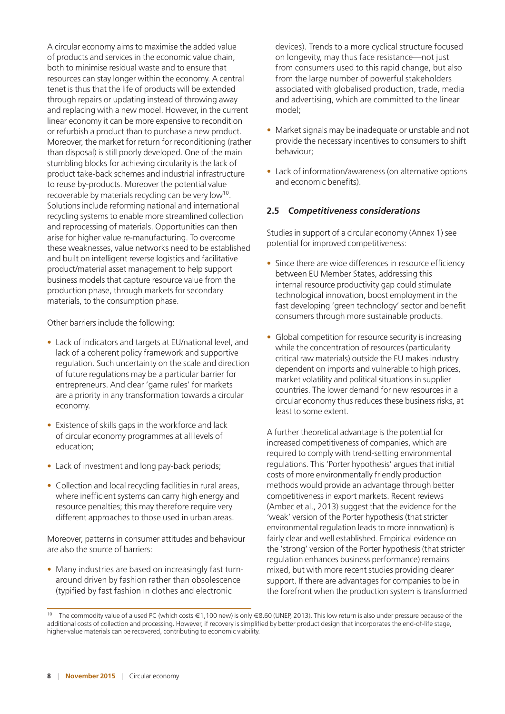A circular economy aims to maximise the added value of products and services in the economic value chain, both to minimise residual waste and to ensure that resources can stay longer within the economy. A central tenet is thus that the life of products will be extended through repairs or updating instead of throwing away and replacing with a new model. However, in the current linear economy it can be more expensive to recondition or refurbish a product than to purchase a new product. Moreover, the market for return for reconditioning (rather than disposal) is still poorly developed. One of the main stumbling blocks for achieving circularity is the lack of product take-back schemes and industrial infrastructure to reuse by-products. Moreover the potential value recoverable by materials recycling can be very low<sup>10</sup>. Solutions include reforming national and international recycling systems to enable more streamlined collection and reprocessing of materials. Opportunities can then arise for higher value re-manufacturing. To overcome these weaknesses, value networks need to be established and built on intelligent reverse logistics and facilitative product/material asset management to help support business models that capture resource value from the production phase, through markets for secondary materials, to the consumption phase.

Other barriers include the following:

- Lack of indicators and targets at EU/national level, and lack of a coherent policy framework and supportive regulation. Such uncertainty on the scale and direction of future regulations may be a particular barrier for entrepreneurs. And clear 'game rules' for markets are a priority in any transformation towards a circular economy.
- Existence of skills gaps in the workforce and lack of circular economy programmes at all levels of education;
- Lack of investment and long pay-back periods;
- Collection and local recycling facilities in rural areas. where inefficient systems can carry high energy and resource penalties; this may therefore require very different approaches to those used in urban areas.

Moreover, patterns in consumer attitudes and behaviour are also the source of barriers:

• Many industries are based on increasingly fast turnaround driven by fashion rather than obsolescence (typified by fast fashion in clothes and electronic

devices). Trends to a more cyclical structure focused on longevity, may thus face resistance—not just from consumers used to this rapid change, but also from the large number of powerful stakeholders associated with globalised production, trade, media and advertising, which are committed to the linear model;

- Market signals may be inadequate or unstable and not provide the necessary incentives to consumers to shift behaviour;
- Lack of information/awareness (on alternative options and economic benefits).

#### **2.5** *Competitiveness considerations*

Studies in support of a circular economy (Annex 1) see potential for improved competitiveness:

- Since there are wide differences in resource efficiency between EU Member States, addressing this internal resource productivity gap could stimulate technological innovation, boost employment in the fast developing 'green technology' sector and benefit consumers through more sustainable products.
- Global competition for resource security is increasing while the concentration of resources (particularity critical raw materials) outside the EU makes industry dependent on imports and vulnerable to high prices, market volatility and political situations in supplier countries. The lower demand for new resources in a circular economy thus reduces these business risks, at least to some extent.

A further theoretical advantage is the potential for increased competitiveness of companies, which are required to comply with trend-setting environmental regulations. This 'Porter hypothesis' argues that initial costs of more environmentally friendly production methods would provide an advantage through better competitiveness in export markets. Recent reviews (Ambec et al., 2013) suggest that the evidence for the 'weak' version of the Porter hypothesis (that stricter environmental regulation leads to more innovation) is fairly clear and well established. Empirical evidence on the 'strong' version of the Porter hypothesis (that stricter regulation enhances business performance) remains mixed, but with more recent studies providing clearer support. If there are advantages for companies to be in the forefront when the production system is transformed

<sup>10</sup> The commodity value of a used PC (which costs €1,100 new) is only €8.60 (UNEP, 2013). This low return is also under pressure because of the additional costs of collection and processing. However, if recovery is simplified by better product design that incorporates the end-of-life stage, higher-value materials can be recovered, contributing to economic viability.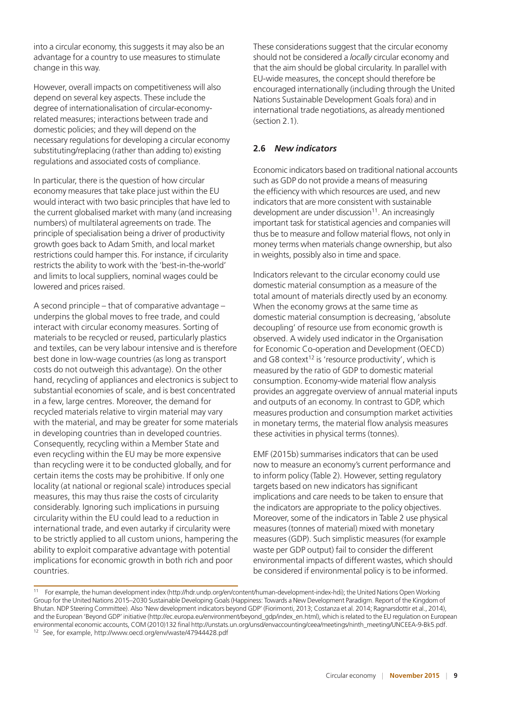into a circular economy, this suggests it may also be an advantage for a country to use measures to stimulate change in this way.

However, overall impacts on competitiveness will also depend on several key aspects. These include the degree of internationalisation of circular-economyrelated measures; interactions between trade and domestic policies; and they will depend on the necessary regulations for developing a circular economy substituting/replacing (rather than adding to) existing regulations and associated costs of compliance.

In particular, there is the question of how circular economy measures that take place just within the EU would interact with two basic principles that have led to the current globalised market with many (and increasing numbers) of multilateral agreements on trade. The principle of specialisation being a driver of productivity growth goes back to Adam Smith, and local market restrictions could hamper this. For instance, if circularity restricts the ability to work with the 'best-in-the-world' and limits to local suppliers, nominal wages could be lowered and prices raised.

A second principle – that of comparative advantage – underpins the global moves to free trade, and could interact with circular economy measures. Sorting of materials to be recycled or reused, particularly plastics and textiles, can be very labour intensive and is therefore best done in low-wage countries (as long as transport costs do not outweigh this advantage). On the other hand, recycling of appliances and electronics is subject to substantial economies of scale, and is best concentrated in a few, large centres. Moreover, the demand for recycled materials relative to virgin material may vary with the material, and may be greater for some materials in developing countries than in developed countries. Consequently, recycling within a Member State and even recycling within the EU may be more expensive than recycling were it to be conducted globally, and for certain items the costs may be prohibitive. If only one locality (at national or regional scale) introduces special measures, this may thus raise the costs of circularity considerably. Ignoring such implications in pursuing circularity within the EU could lead to a reduction in international trade, and even autarky if circularity were to be strictly applied to all custom unions, hampering the ability to exploit comparative advantage with potential implications for economic growth in both rich and poor countries.

These considerations suggest that the circular economy should not be considered a *locally* circular economy and that the aim should be global circularity. In parallel with EU-wide measures, the concept should therefore be encouraged internationally (including through the United Nations Sustainable Development Goals fora) and in international trade negotiations, as already mentioned (section 2.1).

#### **2.6** *New indicators*

Economic indicators based on traditional national accounts such as GDP do not provide a means of measuring the efficiency with which resources are used, and new indicators that are more consistent with sustainable development are under discussion<sup>11</sup>. An increasingly important task for statistical agencies and companies will thus be to measure and follow material flows, not only in money terms when materials change ownership, but also in weights, possibly also in time and space.

Indicators relevant to the circular economy could use domestic material consumption as a measure of the total amount of materials directly used by an economy. When the economy grows at the same time as domestic material consumption is decreasing, 'absolute decoupling' of resource use from economic growth is observed. A widely used indicator in the Organisation for Economic Co-operation and Development (OECD) and G8 context<sup>12</sup> is 'resource productivity', which is measured by the ratio of GDP to domestic material consumption. Economy-wide material flow analysis provides an aggregate overview of annual material inputs and outputs of an economy. In contrast to GDP, which measures production and consumption market activities in monetary terms, the material flow analysis measures these activities in physical terms (tonnes).

EMF (2015b) summarises indicators that can be used now to measure an economy's current performance and to inform policy (Table 2). However, setting regulatory targets based on new indicators has significant implications and care needs to be taken to ensure that the indicators are appropriate to the policy objectives. Moreover, some of the indicators in Table 2 use physical measures (tonnes of material) mixed with monetary measures (GDP). Such simplistic measures (for example waste per GDP output) fail to consider the different environmental impacts of different wastes, which should be considered if environmental policy is to be informed.

<sup>11</sup> For example, the human development index (http://hdr.undp.org/en/content/human-development-index-hdi); the United Nations Open Working Group for the United Nations 2015–2030 Sustainable Developing Goals (Happiness: Towards a New Development Paradigm. Report of the Kingdom of Bhutan. NDP Steering Committee). Also 'New development indicators beyond GDP' (Fiorimonti, 2013; Costanza et al. 2014; Ragnarsdottir et al., 2014), and the European 'Beyond GDP' initiative (http://ec.europa.eu/environment/beyond\_gdp/index\_en.htm[l\)](http://ec.europa.eu/environment/beyond_gdp/index_en.html), which is related to the EU regulation on European environmental economic accounts, COM (2010)132 final http://unstats.un.org/unsd/envaccounting/ceea/meetings/ninth\_meeting/UNCEEA-9-Bk5.pdf. <sup>12</sup> See, for example,<http://www.oecd.org/env/waste/47944428.pdf>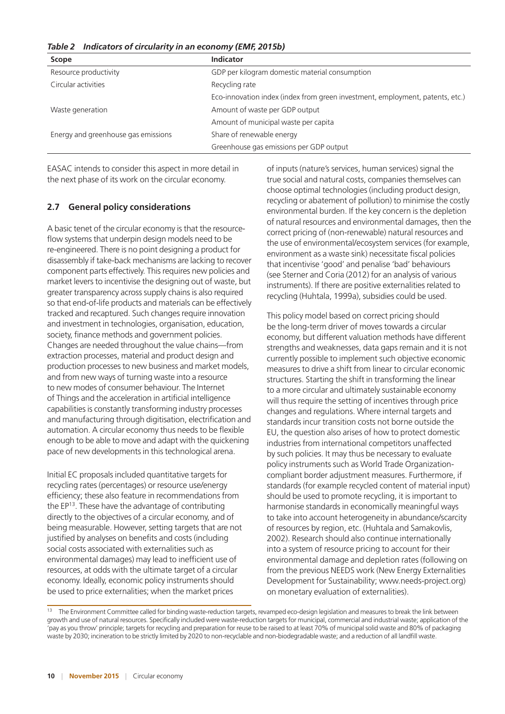| <b>Scope</b>                        | Indicator                                                                     |
|-------------------------------------|-------------------------------------------------------------------------------|
| Resource productivity               | GDP per kilogram domestic material consumption                                |
| Circular activities                 | Recycling rate                                                                |
|                                     | Eco-innovation index (index from green investment, employment, patents, etc.) |
| Waste generation                    | Amount of waste per GDP output                                                |
|                                     | Amount of municipal waste per capita                                          |
| Energy and greenhouse gas emissions | Share of renewable energy                                                     |
|                                     | Greenhouse gas emissions per GDP output                                       |

*Table 2 Indicators of circularity in an economy (EMF, 2015b)*

EASAC intends to consider this aspect in more detail in the next phase of its work on the circular economy.

#### **2.7 General policy considerations**

A basic tenet of the circular economy is that the resourceflow systems that underpin design models need to be re-engineered. There is no point designing a product for disassembly if take-back mechanisms are lacking to recover component parts effectively. This requires new policies and market levers to incentivise the designing out of waste, but greater transparency across supply chains is also required so that end-of-life products and materials can be effectively tracked and recaptured. Such changes require innovation and investment in technologies, organisation, education, society, finance methods and government policies. Changes are needed throughout the value chains—from extraction processes, material and product design and production processes to new business and market models, and from new ways of turning waste into a resource to new modes of consumer behaviour. The Internet of Things and the acceleration in artificial intelligence capabilities is constantly transforming industry processes and manufacturing through digitisation, electrification and automation. A circular economy thus needs to be flexible enough to be able to move and adapt with the quickening pace of new developments in this technological arena.

Initial EC proposals included quantitative targets for recycling rates (percentages) or resource use/energy efficiency; these also feature in recommendations from the EP<sup>13</sup>. These have the advantage of contributing directly to the objectives of a circular economy, and of being measurable. However, setting targets that are not justified by analyses on benefits and costs (including social costs associated with externalities such as environmental damages) may lead to inefficient use of resources, at odds with the ultimate target of a circular economy. Ideally, economic policy instruments should be used to price externalities; when the market prices

of inputs (nature's services, human services) signal the true social and natural costs, companies themselves can choose optimal technologies (including product design, recycling or abatement of pollution) to minimise the costly environmental burden. If the key concern is the depletion of natural resources and environmental damages, then the correct pricing of (non-renewable) natural resources and the use of environmental/ecosystem services (for example, environment as a waste sink) necessitate fiscal policies that incentivise 'good' and penalise 'bad' behaviours (see Sterner and Coria (2012) for an analysis of various instruments). If there are positive externalities related to recycling (Huhtala, 1999a), subsidies could be used.

This policy model based on correct pricing should be the long-term driver of moves towards a circular economy, but different valuation methods have different strengths and weaknesses, data gaps remain and it is not currently possible to implement such objective economic measures to drive a shift from linear to circular economic structures. Starting the shift in transforming the linear to a more circular and ultimately sustainable economy will thus require the setting of incentives through price changes and regulations. Where internal targets and standards incur transition costs not borne outside the EU, the question also arises of how to protect domestic industries from international competitors unaffected by such policies. It may thus be necessary to evaluate policy instruments such as World Trade Organizationcompliant border adjustment measures. Furthermore, if standards (for example recycled content of material input) should be used to promote recycling, it is important to harmonise standards in economically meaningful ways to take into account heterogeneity in abundance/scarcity of resources by region, etc. (Huhtala and Samakovlis, 2002). Research should also continue internationally into a system of resource pricing to account for their environmental damage and depletion rates (following on from the previous NEEDS work (New Energy Externalities Development for Sustainability; [www.needs-project.org](http://www.needs-project.org)) on monetary evaluation of externalities).

<sup>&</sup>lt;sup>13</sup> The Environment Committee called for binding waste-reduction targets, revamped eco-design legislation and measures to break the link between growth and use of natural resources. Specifically included were waste-reduction targets for municipal, commercial and industrial waste; application of the 'pay as you throw' principle; targets for recycling and preparation for reuse to be raised to at least 70% of municipal solid waste and 80% of packaging waste by 2030; incineration to be strictly limited by 2020 to non-recyclable and non-biodegradable waste; and a reduction of all landfill waste.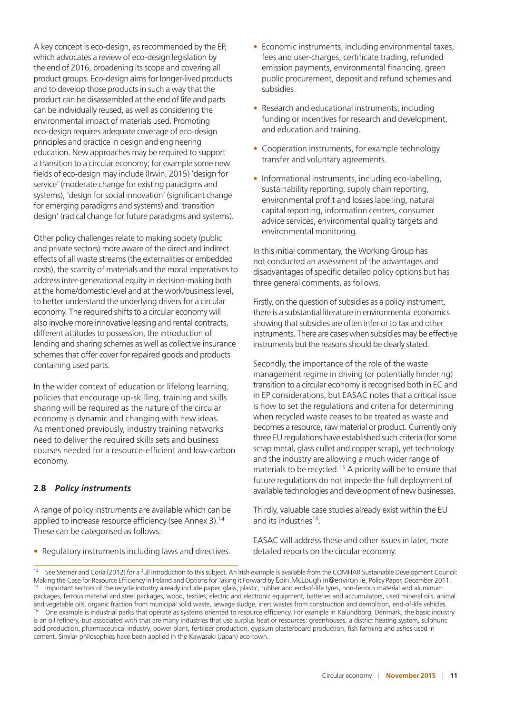A key concept is eco-design, as recommended by the EP, which advocates a review of eco-design legislation by the end of 2016, broadening its scope and covering all product groups. Eco-design aims for longer-lived products and to develop those products in such a way that the product can be disassembled at the end of life and parts can be individually reused, as well as considering the environmental impact of materials used. Promoting eco-design requires adequate coverage of eco-design principles and practice in design and engineering education. New approaches may be required to support a transition to a circular economy; for example some new fields of eco-design may include (Irwin, 2015) 'design for service' (moderate change for existing paradigms and systems), 'design for social innovation' (significant change for emerging paradigms and systems) and 'transition design' (radical change for future paradigms and systems).

Other policy challenges relate to making society (public and private sectors) more aware of the direct and indirect effects of all waste streams (the externalities or embedded costs), the scarcity of materials and the moral imperatives to address inter-generational equity in decision-making both at the home/domestic level and at the work/business level, to better understand the underlying drivers for a circular economy. The required shifts to a circular economy will also involve more innovative leasing and rental contracts, different attitudes to possession, the introduction of lending and sharing schemes as well as collective insurance schemes that offer cover for repaired goods and products containing used parts.

In the wider context of education or lifelong learning, policies that encourage up-skilling, training and skills sharing will be required as the nature of the circular economy is dynamic and changing with new ideas. As mentioned previously, industry training networks need to deliver the required skills sets and business courses needed for a resource-efficient and low-carbon economy.

#### **2.8** *Policy instruments*

A range of policy instruments are available which can be applied to increase resource efficiency (see Annex 3).<sup>14</sup> These can be categorised as follows:

• Regulatory instruments including laws and directives.

- Economic instruments, including environmental taxes, fees and user-charges, certificate trading, refunded emission payments, environmental financing, green public procurement, deposit and refund schemes and subsidies.
- Research and educational instruments, including funding or incentives for research and development, and education and training.
- Cooperation instruments, for example technology transfer and voluntary agreements.
- Informational instruments, including eco-labelling, sustainability reporting, supply chain reporting, environmental profit and losses labelling, natural capital reporting, information centres, consumer advice services, environmental quality targets and environmental monitoring.

In this initial commentary, the Working Group has not conducted an assessment of the advantages and disadvantages of specific detailed policy options but has three general comments, as follows.

Firstly, on the question of subsidies as a policy instrument, there is a substantial literature in environmental economics showing that subsidies are often inferior to tax and other instruments. There are cases when subsidies may be effective instruments but the reasons should be clearly stated.

Secondly, the importance of the role of the waste management regime in driving (or potentially hindering) transition to a circular economy is recognised both in EC and in EP considerations, but EASAC notes that a critical issue is how to set the regulations and criteria for determining when recycled waste ceases to be treated as waste and becomes a resource, raw material or product. Currently only three EU regulations have established such criteria (for some scrap metal, glass cullet and copper scrap), yet technology and the industry are allowing a much wider range of materials to be recycled.15 A priority will be to ensure that future regulations do not impede the full deployment of available technologies and development of new businesses.

Thirdly, valuable case studies already exist within the EU and its industries<sup>16</sup>.

EASAC will address these and other issues in later, more detailed reports on the circular economy.

See Sterner and Coria (2012) for a full introduction to this subject. An Irish example is available from the COMHAR Sustainable Development Council: Making the Case for Resource Efficiency in Ireland and Options for Taking it Forward by Eoin.McLoughlin@environ.ie, Policy Paper, December 2011. <sup>15</sup> Important sectors of the recycle industry already include paper, glass, plastic, rubber and end-of-life tyres, non-ferrous material and aluminum packages, ferrous material and steel packages, wood, textiles, electric and electronic equipment, batteries and accumulators, used mineral oils, animal and vegetable oils, organic fraction from municipal solid waste, sewage sludge, inert wastes from construction and demolition, end-of-life vehicles. <sup>16</sup> One example is industrial parks that operate as systems oriented to resource efficiency. For example in Kalundborg, Denmark, the basic industry is an oil refinery, but associated with that are many industries that use surplus heat or resources: greenhouses, a district heating system, sulphuric acid production, pharmaceutical industry, power plant, fertiliser production, gypsum plasterboard production, fish farming and ashes used in cement. Similar philosophies have been applied in the Kawasaki (Japan) eco-town.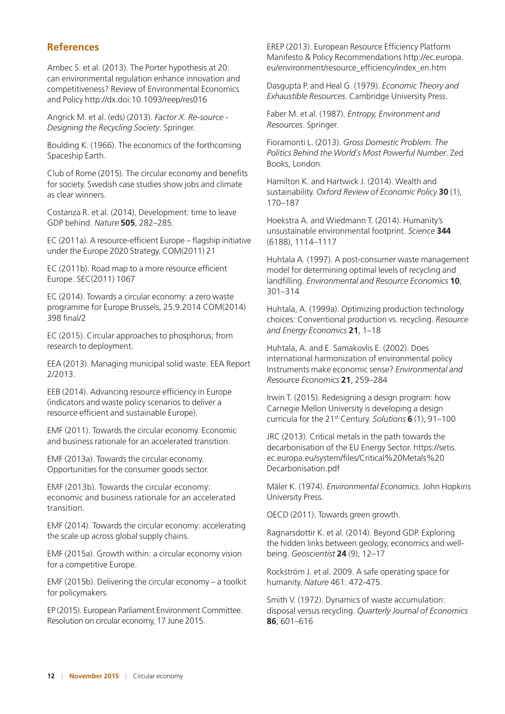## **References**

Ambec S. et al. (2013). The Porter hypothesis at 20: can environmental regulation enhance innovation and competitiveness? Review of Environmental Economics and Policy<http://dx.doi:10.1093/reep/res016>

Angrick M. et al. (eds) (2013). *Factor X. Re-source - Designing the Recycling Society*. Springer.

Boulding K. (1966). The economics of the forthcoming Spaceship Earth.

Club of Rome (2015). The circular economy and benefits for society. Swedish case studies show jobs and climate as clear winners.

Costanza R. et al. (2014). Development: time to leave GDP behind. *Nature* **505**, 282–285.

EC (2011a). A resource-efficient Europe – flagship initiative under the Europe 2020 Strategy. COM(2011) 21

EC (2011b). Road map to a more resource efficient Europe. SEC(2011) 1067

EC (2014). Towards a circular economy: a zero waste programme for Europe Brussels, 25.9.2014 COM(2014) 398 final/2

EC (2015). Circular approaches to phosphorus; from research to deployment.

EEA (2013). Managing municipal solid waste. EEA Report 2/2013.

EEB (2014). Advancing resource efficiency in Europe (indicators and waste policy scenarios to deliver a resource efficient and sustainable Europe).

EMF (2011). Towards the circular economy. Economic and business rationale for an accelerated transition.

EMF (2013a). Towards the circular economy. Opportunities for the consumer goods sector.

EMF (2013b). Towards the circular economy: economic and business rationale for an accelerated transition.

EMF (2014). Towards the circular economy: accelerating the scale up across global supply chains.

EMF (2015a). Growth within: a circular economy vision for a competitive Europe.

EMF (2015b). Delivering the circular economy – a toolkit for policymakers.

EP (2015). European Parliament Environment Committee. Resolution on circular economy, 17 June 2015.

EREP (2013). European Resource Efficiency Platform Manifesto & Policy Recommendations [http://ec.europa.](http://ec.europa.eu/environment/resource_efficiency/index_en.htm) [eu/environment/resource\\_efficiency/index\\_en.htm](http://ec.europa.eu/environment/resource_efficiency/index_en.htm)

Dasgupta P. and Heal G. (1979). *Economic Theory and Exhaustible Resources*. Cambridge University Press.

Faber M. et al. (1987). *Entropy, Environment and Resources*. Springer.

Fioramonti L. (2013). *Gross Domestic Problem. The Politics Behind the World´s Most Powerful Number*. Zed Books, London.

Hamilton K. and Hartwick J. (2014). Wealth and sustainability. *Oxford Review of Economic Policy* **30** (1), 170–187

Hoekstra A. and Wiedmann T. (2014). Humanity's unsustainable environmental footprint. *Science* **344** (6188), 1114–1117

Huhtala A. (1997). A post-consumer waste management model for determining optimal levels of recycling and landfilling. *Environmental and Resource Economics* **10**, 301–314

Huhtala, A. (1999a). Optimizing production technology choices: Conventional production vs. recycling. *Resource and Energy Economics* **21**, 1–18

Huhtala, A. and E. Samakovlis E. (2002). Does international harmonization of environmental policy Instruments make economic sense? *Environmental and Resource Economics* **21**, 259–284

Irwin T. (2015). Redesigning a design program: how Carnegie Mellon University is developing a design curricula for the 21st Century. *Solutions* **6** (1), 91–100

JRC (2013). Critical metals in the path towards the decarbonisation of the EU Energy Sector. https://setis. ec.europa.eu/system/files/Critical%20Metals%20 Decarbonisation.pdf

Mäler K. (1974). *Environmental Economics*. John Hopkins University Press.

OECD (2011). Towards green growth.

Ragnarsdottir K. et al. (2014). Beyond GDP. Exploring the hidden links between geology, economics and wellbeing. *Geoscientist* **24** (9), 12–17

Rockström J. et al. 2009. A safe operating space for humanity. *Nature* 461: 472-475.

Smith V. (1972). Dynamics of waste accumulation: disposal versus recycling. *Quarterly Journal of Economics* **86**, 601–616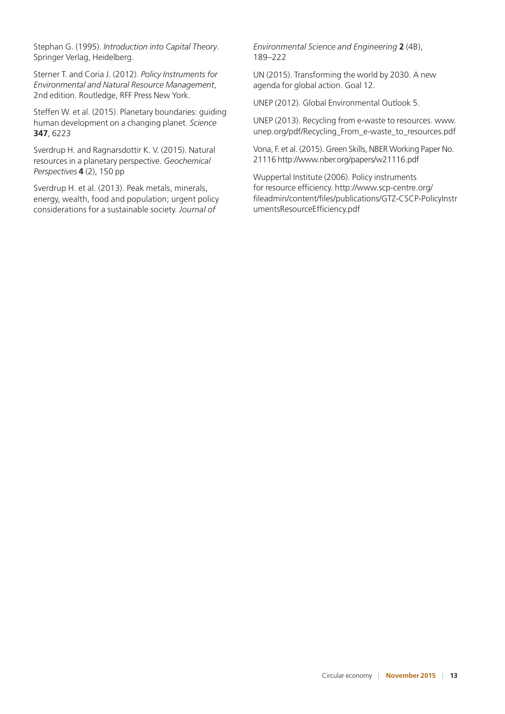Stephan G. (1995). *Introduction into Capital Theory*. Springer Verlag, Heidelberg.

Sterner T. and Coria J. (2012). *Policy Instruments for Environmental and Natural Resource Management*, 2nd edition. Routledge, RFF Press New York.

Steffen W. et al. (2015). Planetary boundaries: guiding human development on a changing planet. *Science* **347**, 6223

Sverdrup H. and Ragnarsdottir K. V. (2015). Natural resources in a planetary perspective. *Geochemical Perspectives* **4** (2), 150 pp

Sverdrup H. et al. (2013). Peak metals, minerals, energy, wealth, food and population; urgent policy considerations for a sustainable society. *Journal of* 

*Environmental Science and Engineering* **2** (4B), 189–222

UN (2015). Transforming the world by 2030. A new agenda for global action. Goal 12.

UNEP (2012). Global Environmental Outlook 5.

UNEP (2013). Recycling from e-waste to resources. [www.](http://www.unep.org/pdf/Recycling_From_e-waste_to_resources.pdf) [unep.org/pdf/Recycling\\_From\\_e-waste\\_to\\_resources.pdf](http://www.unep.org/pdf/Recycling_From_e-waste_to_resources.pdf)

Vona, F. et al. (2015). Green Skills, NBER Working Paper No. 21116<http://www.nber.org/papers/w21116.pdf>

Wuppertal Institute (2006). Policy instruments for resource efficiency. [http://www.scp-centre.org/](http://www.scp-centre.org/fileadmin/content/files/publications/GTZ-CSCP-PolicyInstrumentsResourceEfficiency.pdf) [fileadmin/content/files/publications/GTZ-CSCP-PolicyInstr](http://www.scp-centre.org/fileadmin/content/files/publications/GTZ-CSCP-PolicyInstrumentsResourceEfficiency.pdf) [umentsResourceEfficiency.pdf](http://www.scp-centre.org/fileadmin/content/files/publications/GTZ-CSCP-PolicyInstrumentsResourceEfficiency.pdf)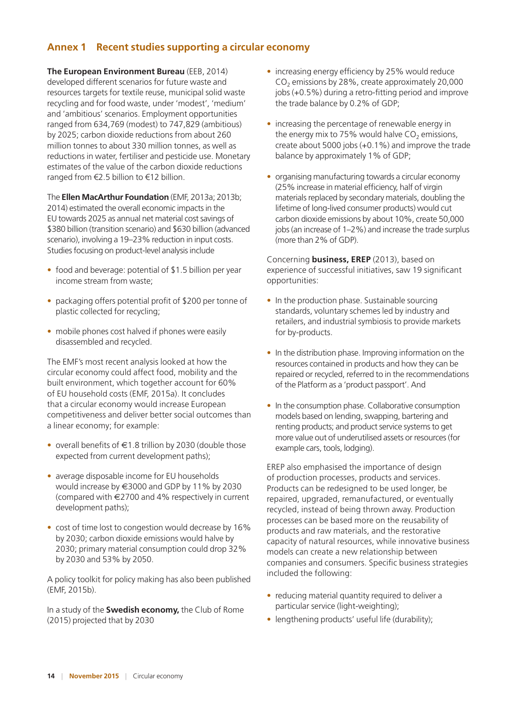## **Annex 1 Recent studies supporting a circular economy**

**The European Environment Bureau** (EEB, 2014) developed different scenarios for future waste and resources targets for textile reuse, municipal solid waste recycling and for food waste, under 'modest', 'medium' and 'ambitious' scenarios. Employment opportunities ranged from 634,769 (modest) to 747,829 (ambitious) by 2025; carbon dioxide reductions from about 260 million tonnes to about 330 million tonnes, as well as reductions in water, fertiliser and pesticide use. Monetary estimates of the value of the carbon dioxide reductions ranged from €2.5 billion to €12 billion.

The **Ellen MacArthur Foundation** (EMF, 2013a; 2013b; 2014) estimated the overall economic impacts in the EU towards 2025 as annual net material cost savings of \$380 billion (transition scenario) and \$630 billion (advanced scenario), involving a 19–23% reduction in input costs. Studies focusing on product-level analysis include

- food and beverage: potential of \$1.5 billion per year income stream from waste;
- packaging offers potential profit of \$200 per tonne of plastic collected for recycling;
- mobile phones cost halved if phones were easily disassembled and recycled.

The EMF's most recent analysis looked at how the circular economy could affect food, mobility and the built environment, which together account for 60% of EU household costs (EMF, 2015a). It concludes that a circular economy would increase European competitiveness and deliver better social outcomes than a linear economy; for example:

- overall benefits of  $\in$  1.8 trillion by 2030 (double those expected from current development paths);
- average disposable income for EU households would increase by €3000 and GDP by 11% by 2030 (compared with €2700 and 4% respectively in current development paths);
- cost of time lost to congestion would decrease by 16% by 2030; carbon dioxide emissions would halve by 2030; primary material consumption could drop 32% by 2030 and 53% by 2050.

A policy toolkit for policy making has also been published (EMF, 2015b).

In a study of the **Swedish economy,** the Club of Rome (2015) projected that by 2030

- increasing energy efficiency by 25% would reduce CO<sub>2</sub> emissions by 28%, create approximately 20,000 jobs (+0.5%) during a retro-fitting period and improve the trade balance by 0.2% of GDP;
- increasing the percentage of renewable energy in the energy mix to 75% would halve  $CO<sub>2</sub>$  emissions, create about 5000 jobs (+0.1%) and improve the trade balance by approximately 1% of GDP;
- organising manufacturing towards a circular economy (25% increase in material efficiency, half of virgin materials replaced by secondary materials, doubling the lifetime of long-lived consumer products) would cut carbon dioxide emissions by about 10%, create 50,000 jobs (an increase of 1–2%) and increase the trade surplus (more than 2% of GDP).

Concerning **business, EREP** (2013), based on experience of successful initiatives, saw 19 significant opportunities:

- In the production phase. Sustainable sourcing standards, voluntary schemes led by industry and retailers, and industrial symbiosis to provide markets for by-products.
- In the distribution phase. Improving information on the resources contained in products and how they can be repaired or recycled, referred to in the recommendations of the Platform as a 'product passport'. And
- In the consumption phase. Collaborative consumption models based on lending, swapping, bartering and renting products; and product service systems to get more value out of underutilised assets or resources (for example cars, tools, lodging).

EREP also emphasised the importance of design of production processes, products and services. Products can be redesigned to be used longer, be repaired, upgraded, remanufactured, or eventually recycled, instead of being thrown away. Production processes can be based more on the reusability of products and raw materials, and the restorative capacity of natural resources, while innovative business models can create a new relationship between companies and consumers. Specific business strategies included the following:

- reducing material quantity required to deliver a particular service (light-weighting);
- lengthening products' useful life (durability);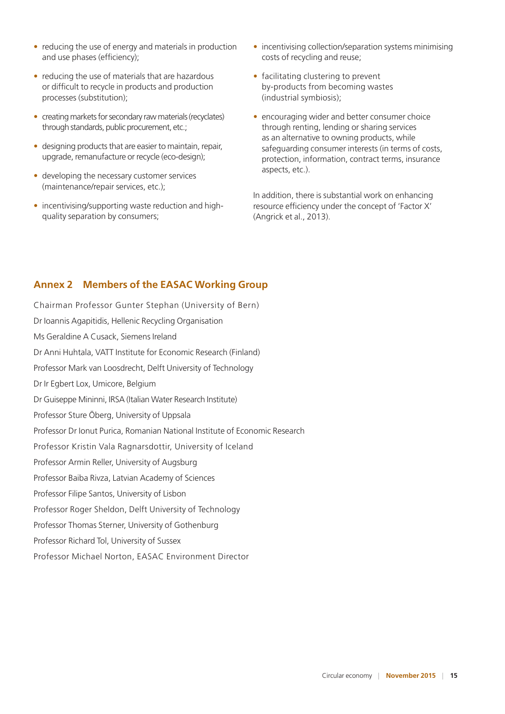- reducing the use of energy and materials in production and use phases (efficiency);
- reducing the use of materials that are hazardous or difficult to recycle in products and production processes (substitution);
- creating markets for secondary raw materials (recyclates) through standards, public procurement, etc.;
- designing products that are easier to maintain, repair, upgrade, remanufacture or recycle (eco-design);
- developing the necessary customer services (maintenance/repair services, etc.);
- incentivising/supporting waste reduction and highquality separation by consumers;
- incentivising collection/separation systems minimising costs of recycling and reuse;
- facilitating clustering to prevent by-products from becoming wastes (industrial symbiosis);
- encouraging wider and better consumer choice through renting, lending or sharing services as an alternative to owning products, while safeguarding consumer interests (in terms of costs, protection, information, contract terms, insurance aspects, etc.).

In addition, there is substantial work on enhancing resource efficiency under the concept of 'Factor X' (Angrick et al., 2013).

## **Annex 2 Members of the EASAC Working Group**

Chairman Professor Gunter Stephan (University of Bern) Dr Ioannis Agapitidis, Hellenic Recycling Organisation Ms Geraldine A Cusack, Siemens Ireland Dr Anni Huhtala, VATT Institute for Economic Research (Finland) Professor Mark van Loosdrecht, Delft University of Technology Dr Ir Egbert Lox, Umicore, Belgium Dr Guiseppe Mininni, IRSA (Italian Water Research Institute) Professor Sture Öberg, University of Uppsala Professor Dr Ionut Purica, Romanian National Institute of Economic Research Professor Kristin Vala Ragnarsdottir, University of Iceland Professor Armin Reller, University of Augsburg Professor Baiba Rivza, Latvian Academy of Sciences Professor Filipe Santos, University of Lisbon Professor Roger Sheldon, Delft University of Technology Professor Thomas Sterner, University of Gothenburg Professor Richard Tol, University of Sussex Professor Michael Norton, EASAC Environment Director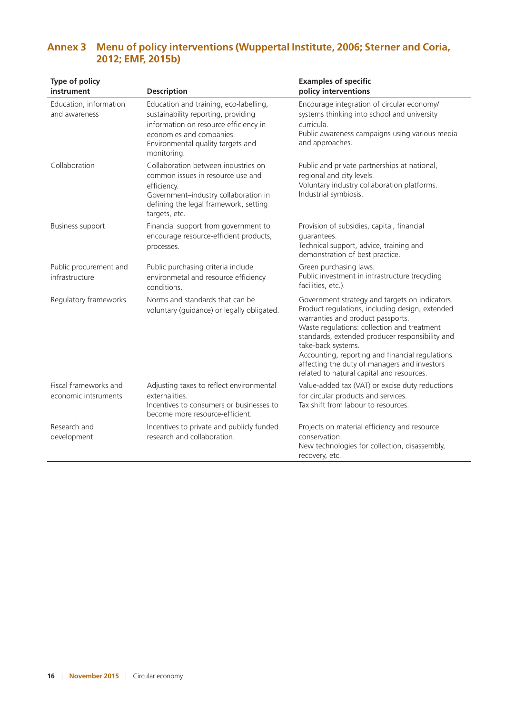| Type of policy<br>instrument                  | <b>Description</b>                                                                                                                                                                                     | <b>Examples of specific</b><br>policy interventions                                                                                                                                                                                                                                                                                                                                                            |
|-----------------------------------------------|--------------------------------------------------------------------------------------------------------------------------------------------------------------------------------------------------------|----------------------------------------------------------------------------------------------------------------------------------------------------------------------------------------------------------------------------------------------------------------------------------------------------------------------------------------------------------------------------------------------------------------|
| Education, information<br>and awareness       | Education and training, eco-labelling,<br>sustainability reporting, providing<br>information on resource efficiency in<br>economies and companies.<br>Environmental quality targets and<br>monitoring. | Encourage integration of circular economy/<br>systems thinking into school and university<br>curricula.<br>Public awareness campaigns using various media<br>and approaches.                                                                                                                                                                                                                                   |
| Collaboration                                 | Collaboration between industries on<br>common issues in resource use and<br>efficiency.<br>Government-industry collaboration in<br>defining the legal framework, setting<br>targets, etc.              | Public and private partnerships at national,<br>regional and city levels.<br>Voluntary industry collaboration platforms.<br>Industrial symbiosis.                                                                                                                                                                                                                                                              |
| <b>Business support</b>                       | Financial support from government to<br>encourage resource-efficient products,<br>processes.                                                                                                           | Provision of subsidies, capital, financial<br>quarantees.<br>Technical support, advice, training and<br>demonstration of best practice.                                                                                                                                                                                                                                                                        |
| Public procurement and<br>infrastructure      | Public purchasing criteria include<br>environmetal and resource efficiency<br>conditions.                                                                                                              | Green purchasing laws.<br>Public investment in infrastructure (recycling<br>facilities, etc.).                                                                                                                                                                                                                                                                                                                 |
| Regulatory frameworks                         | Norms and standards that can be<br>voluntary (guidance) or legally obligated.                                                                                                                          | Government strategy and targets on indicators.<br>Product regulations, including design, extended<br>warranties and product passports.<br>Waste regulations: collection and treatment<br>standards, extended producer responsibility and<br>take-back systems.<br>Accounting, reporting and financial regulations<br>affecting the duty of managers and investors<br>related to natural capital and resources. |
| Fiscal frameworks and<br>economic intsruments | Adjusting taxes to reflect environmental<br>externalities.<br>Incentives to consumers or businesses to<br>become more resource-efficient.                                                              | Value-added tax (VAT) or excise duty reductions<br>for circular products and services.<br>Tax shift from labour to resources.                                                                                                                                                                                                                                                                                  |
| Research and<br>development                   | Incentives to private and publicly funded<br>research and collaboration.                                                                                                                               | Projects on material efficiency and resource<br>conservation.<br>New technologies for collection, disassembly,<br>recovery, etc.                                                                                                                                                                                                                                                                               |

## **Annex 3 Menu of policy interventions (Wuppertal Institute, 2006; Sterner and Coria, 2012; EMF, 2015b)**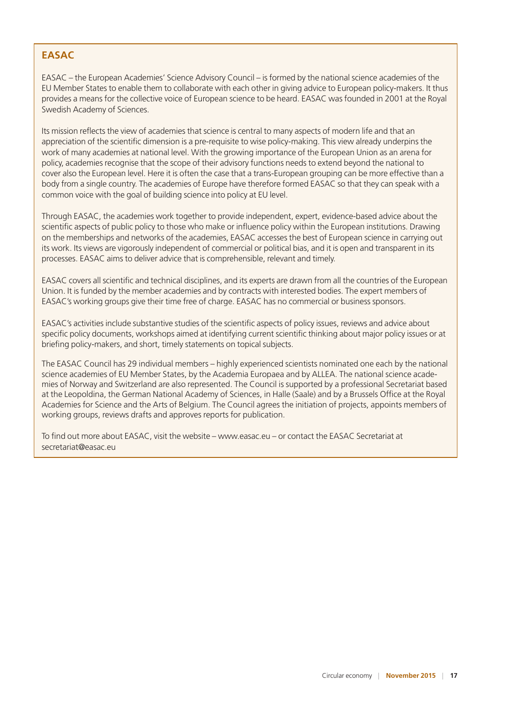## **EASAC**

EASAC – the European Academies' Science Advisory Council – is formed by the national science academies of the EU Member States to enable them to collaborate with each other in giving advice to European policy-makers. It thus provides a means for the collective voice of European science to be heard. EASAC was founded in 2001 at the Royal Swedish Academy of Sciences.

Its mission reflects the view of academies that science is central to many aspects of modern life and that an appreciation of the scientific dimension is a pre-requisite to wise policy-making. This view already underpins the work of many academies at national level. With the growing importance of the European Union as an arena for policy, academies recognise that the scope of their advisory functions needs to extend beyond the national to cover also the European level. Here it is often the case that a trans-European grouping can be more effective than a body from a single country. The academies of Europe have therefore formed EASAC so that they can speak with a common voice with the goal of building science into policy at EU level.

Through EASAC, the academies work together to provide independent, expert, evidence-based advice about the scientific aspects of public policy to those who make or influence policy within the European institutions. Drawing on the memberships and networks of the academies, EASAC accesses the best of European science in carrying out its work. Its views are vigorously independent of commercial or political bias, and it is open and transparent in its processes. EASAC aims to deliver advice that is comprehensible, relevant and timely.

EASAC covers all scientific and technical disciplines, and its experts are drawn from all the countries of the European Union. It is funded by the member academies and by contracts with interested bodies. The expert members of EASAC's working groups give their time free of charge. EASAC has no commercial or business sponsors.

EASAC's activities include substantive studies of the scientific aspects of policy issues, reviews and advice about specific policy documents, workshops aimed at identifying current scientific thinking about major policy issues or at briefing policy-makers, and short, timely statements on topical subjects.

The EASAC Council has 29 individual members – highly experienced scientists nominated one each by the national science academies of EU Member States, by the Academia Europaea and by ALLEA. The national science academies of Norway and Switzerland are also represented. The Council is supported by a professional Secretariat based at the Leopoldina, the German National Academy of Sciences, in Halle (Saale) and by a Brussels Office at the Royal Academies for Science and the Arts of Belgium. The Council agrees the initiation of projects, appoints members of working groups, reviews drafts and approves reports for publication.

To find out more about EASAC, visit the website – www.easac.eu – or contact the EASAC Secretariat at <secretariat@easac.eu>